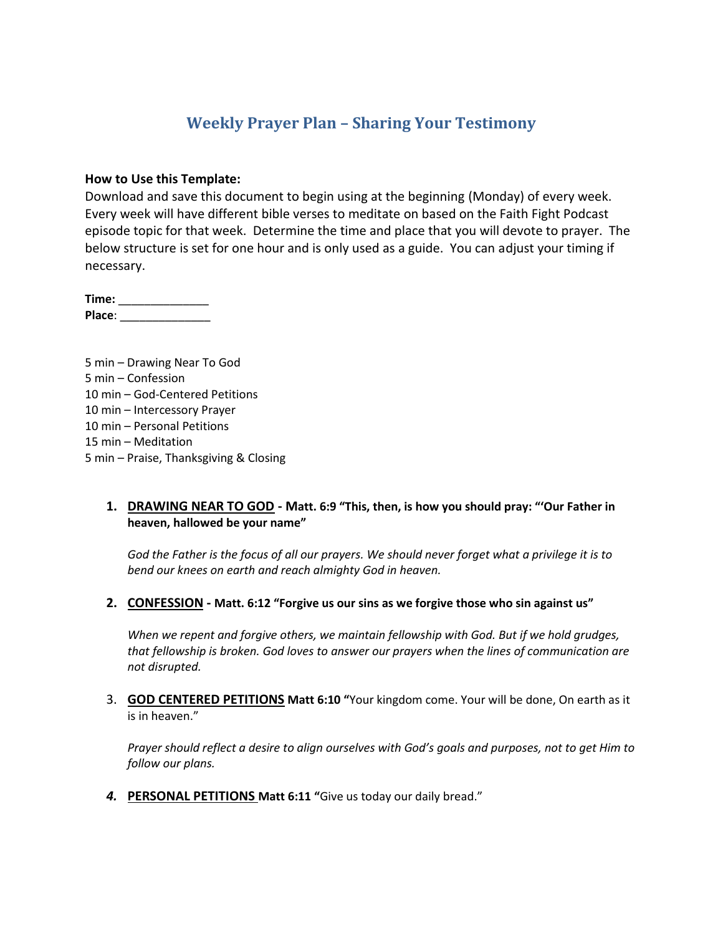# **Weekly Prayer Plan – Sharing Your Testimony**

#### **How to Use this Template:**

Download and save this document to begin using at the beginning (Monday) of every week. Every week will have different bible verses to meditate on based on the Faith Fight Podcast episode topic for that week. Determine the time and place that you will devote to prayer. The below structure is set for one hour and is only used as a guide. You can adjust your timing if necessary.

**Time:** \_\_\_\_\_\_\_\_\_\_\_\_\_\_ **Place**: \_\_\_\_\_\_\_\_\_\_\_\_\_\_

5 min – Drawing Near To God 5 min – Confession 10 min – God-Centered Petitions 10 min – Intercessory Prayer 10 min – Personal Petitions 15 min – Meditation 5 min – Praise, Thanksgiving & Closing

### **1. DRAWING NEAR TO GOD - Matt. 6:9 "This, then, is how you should pray: "'Our Father in heaven, hallowed be your name"**

*God the Father is the focus of all our prayers. We should never forget what a privilege it is to bend our knees on earth and reach almighty God in heaven.*

**2. CONFESSION - Matt. 6:12 "Forgive us our sins as we forgive those who sin against us"**

*When we repent and forgive others, we maintain fellowship with God. But if we hold grudges, that fellowship is broken. God loves to answer our prayers when the lines of communication are not disrupted.*

3. **GOD CENTERED PETITIONS Matt 6:10 "**Your kingdom come. Your will be done, On earth as it is in heaven."

*Prayer should reflect a desire to align ourselves with God's goals and purposes, not to get Him to follow our plans.*

*4.* **PERSONAL PETITIONS Matt 6:11 "**Give us today our daily bread."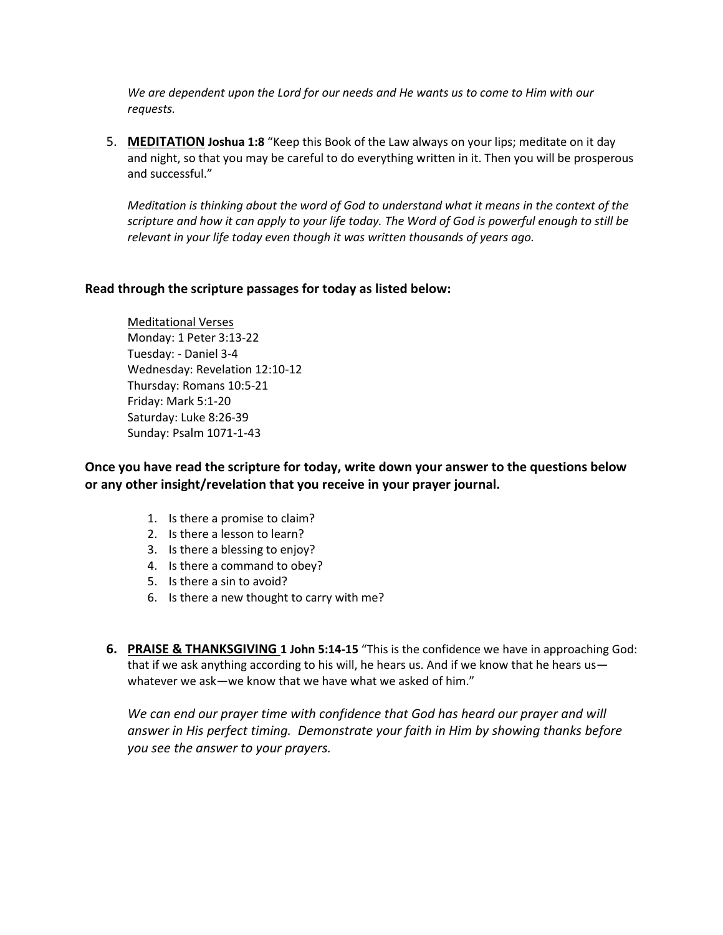*We are dependent upon the Lord for our needs and He wants us to come to Him with our requests.*

5. **MEDITATION Joshua 1:8** "Keep this Book of the Law always on your lips; meditate on it day and night, so that you may be careful to do everything written in it. Then you will be prosperous and successful."

*Meditation is thinking about the word of God to understand what it means in the context of the scripture and how it can apply to your life today. The Word of God is powerful enough to still be relevant in your life today even though it was written thousands of years ago.*

### **Read through the scripture passages for today as listed below:**

Meditational Verses Monday: 1 Peter 3:13-22 Tuesday: - Daniel 3-4 Wednesday: Revelation 12:10-12 Thursday: Romans 10:5-21 Friday: Mark 5:1-20 Saturday: Luke 8:26-39 Sunday: Psalm 1071-1-43

**Once you have read the scripture for today, write down your answer to the questions below or any other insight/revelation that you receive in your prayer journal.** 

- 1. Is there a promise to claim?
- 2. Is there a lesson to learn?
- 3. Is there a blessing to enjoy?
- 4. Is there a command to obey?
- 5. Is there a sin to avoid?
- 6. Is there a new thought to carry with me?
- **6. PRAISE & THANKSGIVING 1 John 5:14-15** "This is the confidence we have in approaching God: that if we ask anything according to his will, he hears us. And if we know that he hears us whatever we ask—we know that we have what we asked of him."

*We can end our prayer time with confidence that God has heard our prayer and will answer in His perfect timing. Demonstrate your faith in Him by showing thanks before you see the answer to your prayers.*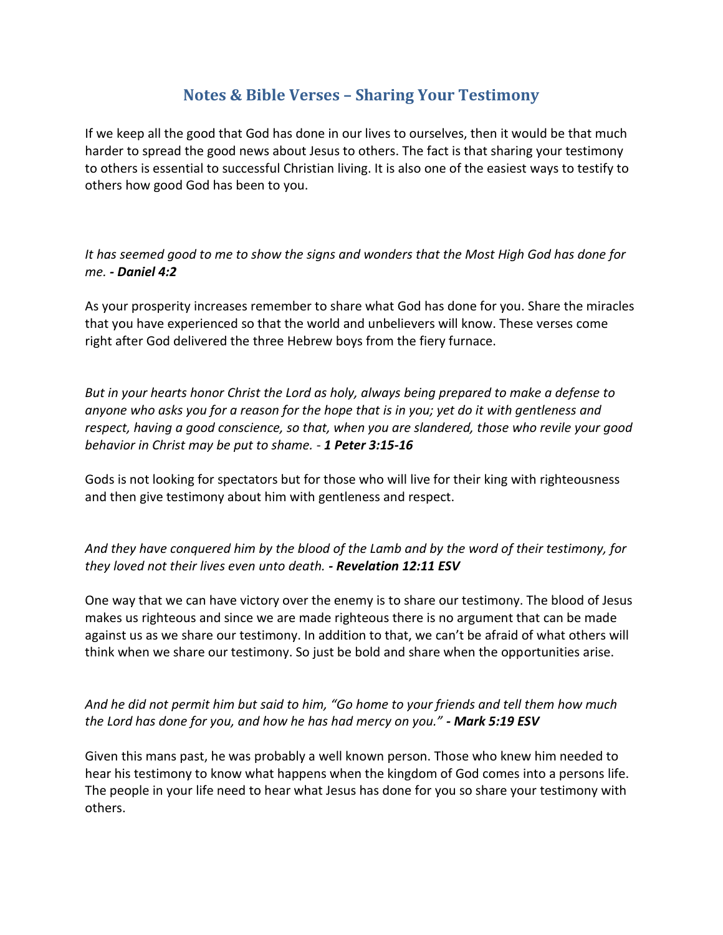# **Notes & Bible Verses – Sharing Your Testimony**

If we keep all the good that God has done in our lives to ourselves, then it would be that much harder to spread the good news about Jesus to others. The fact is that sharing your testimony to others is essential to successful Christian living. It is also one of the easiest ways to testify to others how good God has been to you.

*It has seemed good to me to show the signs and wonders that the Most High God has done for me. - Daniel 4:2*

As your prosperity increases remember to share what God has done for you. Share the miracles that you have experienced so that the world and unbelievers will know. These verses come right after God delivered the three Hebrew boys from the fiery furnace.

*But in your hearts honor Christ the Lord as holy, always being prepared to make a defense to anyone who asks you for a reason for the hope that is in you; yet do it with gentleness and respect, having a good conscience, so that, when you are slandered, those who revile your good behavior in Christ may be put to shame. - 1 Peter 3:15-16*

Gods is not looking for spectators but for those who will live for their king with righteousness and then give testimony about him with gentleness and respect.

*And they have conquered him by the blood of the Lamb and by the word of their testimony, for they loved not their lives even unto death. - Revelation 12:11 ESV*

One way that we can have victory over the enemy is to share our testimony. The blood of Jesus makes us righteous and since we are made righteous there is no argument that can be made against us as we share our testimony. In addition to that, we can't be afraid of what others will think when we share our testimony. So just be bold and share when the opportunities arise.

*And he did not permit him but said to him, "Go home to your friends and tell them how much the Lord has done for you, and how he has had mercy on you." - Mark 5:19 ESV*

Given this mans past, he was probably a well known person. Those who knew him needed to hear his testimony to know what happens when the kingdom of God comes into a persons life. The people in your life need to hear what Jesus has done for you so share your testimony with others.